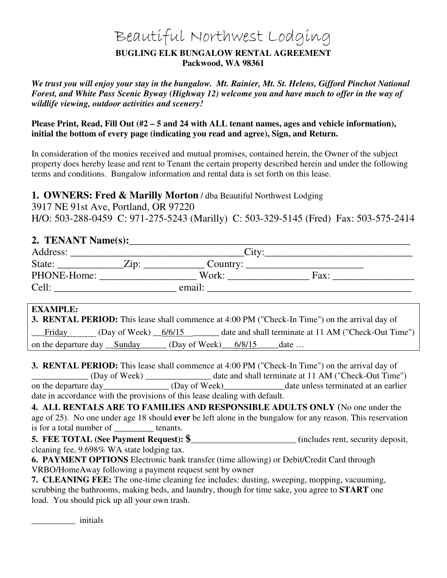# Beautiful Northwest Lodging

### **BUGLING ELK BUNGALOW RENTAL AGREEMENT Packwood, WA 98361**

*We trust you will enjoy your stay in the bungalow. Mt. Rainier, Mt. St. Helens, Gifford Pinchot National Forest, and White Pass Scenic Byway (Highway 12) welcome you and have much to offer in the way of wildlife viewing, outdoor activities and scenery!* 

**Please Print, Read, Fill Out (#2 – 5 and 24 with ALL tenant names, ages and vehicle information), initial the bottom of every page (indicating you read and agree), Sign, and Return.** 

In consideration of the monies received and mutual promises, contained herein, the Owner of the subject property does hereby lease and rent to Tenant the certain property described herein and under the following terms and conditions. Bungalow information and rental data is set forth on this lease.

**1. OWNERS: Fred & Marilly Morton** / dba Beautiful Northwest Lodging

3917 NE 91st Ave, Portland, OR 97220 H/O: 503-288-0459 C: 971-275-5243 (Marilly) C: 503-329-5145 (Fred) Fax: 503-575-2414

# 2. TENANT Name(s):

| Address:    | City:        |          |      |  |  |
|-------------|--------------|----------|------|--|--|
| State:      | $\angle$ in: | Country: |      |  |  |
| PHONE-Home: |              | Work:    | Fax: |  |  |
| Cell:       |              | email:   |      |  |  |

# **EXAMPLE:**

|                                     |                         |                                 | <b>3. RENTAL PERIOD:</b> This lease shall commence at 4:00 PM ("Check-In Time") on the arrival day of |
|-------------------------------------|-------------------------|---------------------------------|-------------------------------------------------------------------------------------------------------|
| Friday '                            | (Day of Week) $\_{6/6}$ |                                 | date and shall terminate at 11 AM ("Check-Out Time")                                                  |
| on the departure day __Sunday______ |                         | $\mu$ (Day of Week) 6/8/15 date |                                                                                                       |

**3. RENTAL PERIOD:** This lease shall commence at 4:00 PM ("Check-In Time") on the arrival day of \_\_\_\_\_\_\_\_\_\_\_\_\_ (Day of Week) \_\_\_\_\_\_\_\_\_\_\_\_\_\_\_ date and shall terminate at 11 AM ("Check-Out Time") on the departure day (Day of Week) date unless terminated at an earlier

date in accordance with the provisions of this lease dealing with default.

**4. ALL RENTALS ARE TO FAMILIES AND RESPONSIBLE ADULTS ONLY** (No one under the age of 25). No one under age 18 should **ever** be left alone in the bungalow for any reason. This reservation is for a total number of \_\_\_\_\_\_\_\_\_ tenants.

**5. FEE TOTAL (See Payment Request): \$\_\_\_\_\_\_\_\_\_\_\_\_\_\_\_\_\_\_\_\_\_\_\_\_ (**includes rent, security deposit, cleaning fee, 9.698% WA state lodging tax.

**6. PAYMENT OPTIONS** Electronic bank transfer (time allowing) or Debit/Credit Card through VRBO/HomeAway following a payment request sent by owner

**7. CLEANING FEE:** The one-time cleaning fee includes: dusting, sweeping, mopping, vacuuming, scrubbing the bathrooms, making beds, and laundry, though for time sake, you agree to **START** one load. You should pick up all your own trash.

\_\_\_\_\_\_\_\_\_\_ initials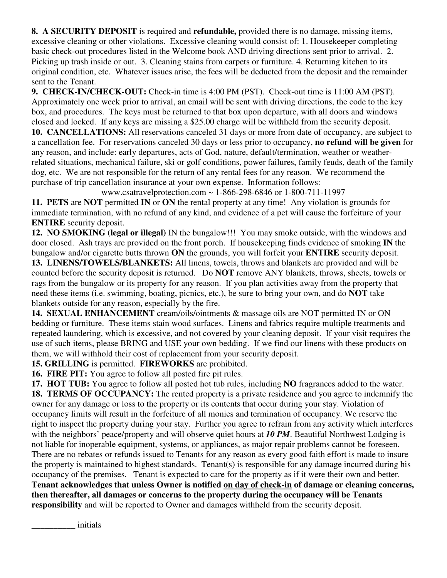**8. A SECURITY DEPOSIT** is required and **refundable,** provided there is no damage, missing items, excessive cleaning or other violations. Excessive cleaning would consist of: 1. Housekeeper completing basic check-out procedures listed in the Welcome book AND driving directions sent prior to arrival. 2. Picking up trash inside or out. 3. Cleaning stains from carpets or furniture. 4. Returning kitchen to its original condition, etc. Whatever issues arise, the fees will be deducted from the deposit and the remainder sent to the Tenant.

**9. CHECK-IN/CHECK-OUT:** Check-in time is 4:00 PM (PST). Check-out time is 11:00 AM (PST). Approximately one week prior to arrival, an email will be sent with driving directions, the code to the key box, and procedures. The keys must be returned to that box upon departure, with all doors and windows closed and locked. If any keys are missing a \$25.00 charge will be withheld from the security deposit. **10. CANCELLATIONS:** All reservations canceled 31 days or more from date of occupancy, are subject to a cancellation fee. For reservations canceled 30 days or less prior to occupancy, **no refund will be given** for any reason, and include: early departures, acts of God, nature, default/termination, weather or weatherrelated situations, mechanical failure, ski or golf conditions, power failures, family feuds, death of the family dog, etc. We are not responsible for the return of any rental fees for any reason. We recommend the purchase of trip cancellation insurance at your own expense. Information follows:

www.csatravelprotection.com ~ 1-866-298-6846 or 1-800-711-11997

**11. PETS** are **NOT** permitted **IN** or **ON** the rental property at any time! Any violation is grounds for immediate termination, with no refund of any kind, and evidence of a pet will cause the forfeiture of your **ENTIRE** security deposit.

**12. NO SMOKING (legal or illegal)** IN the bungalow!!! You may smoke outside, with the windows and door closed. Ash trays are provided on the front porch. If housekeeping finds evidence of smoking **IN** the bungalow and/or cigarette butts thrown **ON** the grounds, you will forfeit your **ENTIRE** security deposit. **13. LINENS/TOWELS/BLANKETS:** All linens, towels, throws and blankets are provided and will be counted before the security deposit is returned. Do **NOT** remove ANY blankets, throws, sheets, towels or

rags from the bungalow or its property for any reason. If you plan activities away from the property that need these items (i.e. swimming, boating, picnics, etc.), be sure to bring your own, and do **NOT** take blankets outside for any reason, especially by the fire.

**14. SEXUAL ENHANCEMENT** cream/oils/ointments & massage oils are NOT permitted IN or ON bedding or furniture. These items stain wood surfaces. Linens and fabrics require multiple treatments and repeated laundering, which is excessive, and not covered by your cleaning deposit. If your visit requires the use of such items, please BRING and USE your own bedding. If we find our linens with these products on them, we will withhold their cost of replacement from your security deposit.

**15. GRILLING** is permitted. **FIREWORKS** are prohibited.

**16. FIRE PIT:** You agree to follow all posted fire pit rules.

**17. HOT TUB:** You agree to follow all posted hot tub rules, including **NO** fragrances added to the water. **18. TERMS OF OCCUPANCY:** The rented property is a private residence and you agree to indemnify the owner for any damage or loss to the property or its contents that occur during your stay. Violation of occupancy limits will result in the forfeiture of all monies and termination of occupancy. We reserve the right to inspect the property during your stay. Further you agree to refrain from any activity which interferes with the neighbors' peace/property and will observe quiet hours at *10 PM*. Beautiful Northwest Lodging is not liable for inoperable equipment, systems, or appliances, as major repair problems cannot be foreseen. There are no rebates or refunds issued to Tenants for any reason as every good faith effort is made to insure the property is maintained to highest standards. Tenant(s) is responsible for any damage incurred during his occupancy of the premises. Tenant is expected to care for the property as if it were their own and better. **Tenant acknowledges that unless Owner is notified on day of check-in of damage or cleaning concerns, then thereafter, all damages or concerns to the property during the occupancy will be Tenants responsibility** and will be reported to Owner and damages withheld from the security deposit.

\_\_\_\_\_\_\_\_\_\_ initials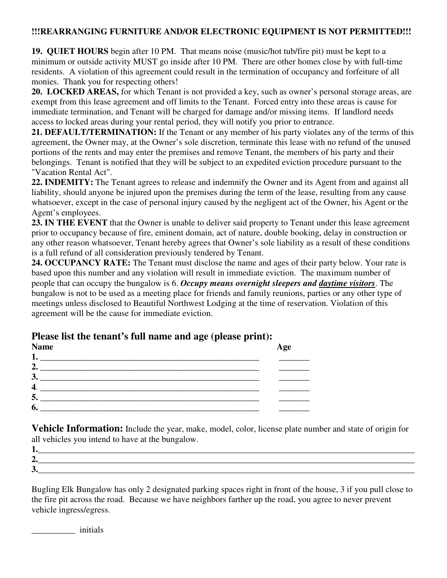### **!!!REARRANGING FURNITURE AND/OR ELECTRONIC EQUIPMENT IS NOT PERMITTED!!!**

**19. QUIET HOURS** begin after 10 PM. That means noise (music/hot tub/fire pit) must be kept to a minimum or outside activity MUST go inside after 10 PM. There are other homes close by with full-time residents. A violation of this agreement could result in the termination of occupancy and forfeiture of all monies. Thank you for respecting others!

**20. LOCKED AREAS,** for which Tenant is not provided a key, such as owner's personal storage areas, are exempt from this lease agreement and off limits to the Tenant. Forced entry into these areas is cause for immediate termination, and Tenant will be charged for damage and/or missing items. If landlord needs access to locked areas during your rental period, they will notify you prior to entrance.

**21. DEFAULT/TERMINATION:** If the Tenant or any member of his party violates any of the terms of this agreement, the Owner may, at the Owner's sole discretion, terminate this lease with no refund of the unused portions of the rents and may enter the premises and remove Tenant, the members of his party and their belongings. Tenant is notified that they will be subject to an expedited eviction procedure pursuant to the "Vacation Rental Act".

**22. INDEMITY:** The Tenant agrees to release and indemnify the Owner and its Agent from and against all liability, should anyone be injured upon the premises during the term of the lease, resulting from any cause whatsoever, except in the case of personal injury caused by the negligent act of the Owner, his Agent or the Agent's employees.

**23. IN THE EVENT** that the Owner is unable to deliver said property to Tenant under this lease agreement prior to occupancy because of fire, eminent domain, act of nature, double booking, delay in construction or any other reason whatsoever, Tenant hereby agrees that Owner's sole liability as a result of these conditions is a full refund of all consideration previously tendered by Tenant.

**24. OCCUPANCY RATE:** The Tenant must disclose the name and ages of their party below. Your rate is based upon this number and any violation will result in immediate eviction. The maximum number of people that can occupy the bungalow is 6. *Occupy means overnight sleepers and daytime visitors*. The bungalow is not to be used as a meeting place for friends and family reunions, parties or any other type of meetings unless disclosed to Beautiful Northwest Lodging at the time of reservation. Violation of this agreement will be the cause for immediate eviction.

# **Please list the tenant's full name and age (please print):**

| <b>Name</b> | Age |
|-------------|-----|
| ı.          |     |
| 2.          |     |
| 3           |     |
|             |     |
| 5.          |     |
| 6           |     |

**Vehicle Information:** Include the year, make, model, color, license plate number and state of origin for all vehicles you intend to have at the bungalow.

| A<br>◢ |  |
|--------|--|
| ັ      |  |

Bugling Elk Bungalow has only 2 designated parking spaces right in front of the house, 3 if you pull close to the fire pit across the road. Because we have neighbors farther up the road, you agree to never prevent vehicle ingress/egress.

\_\_\_\_\_\_\_\_\_\_ initials